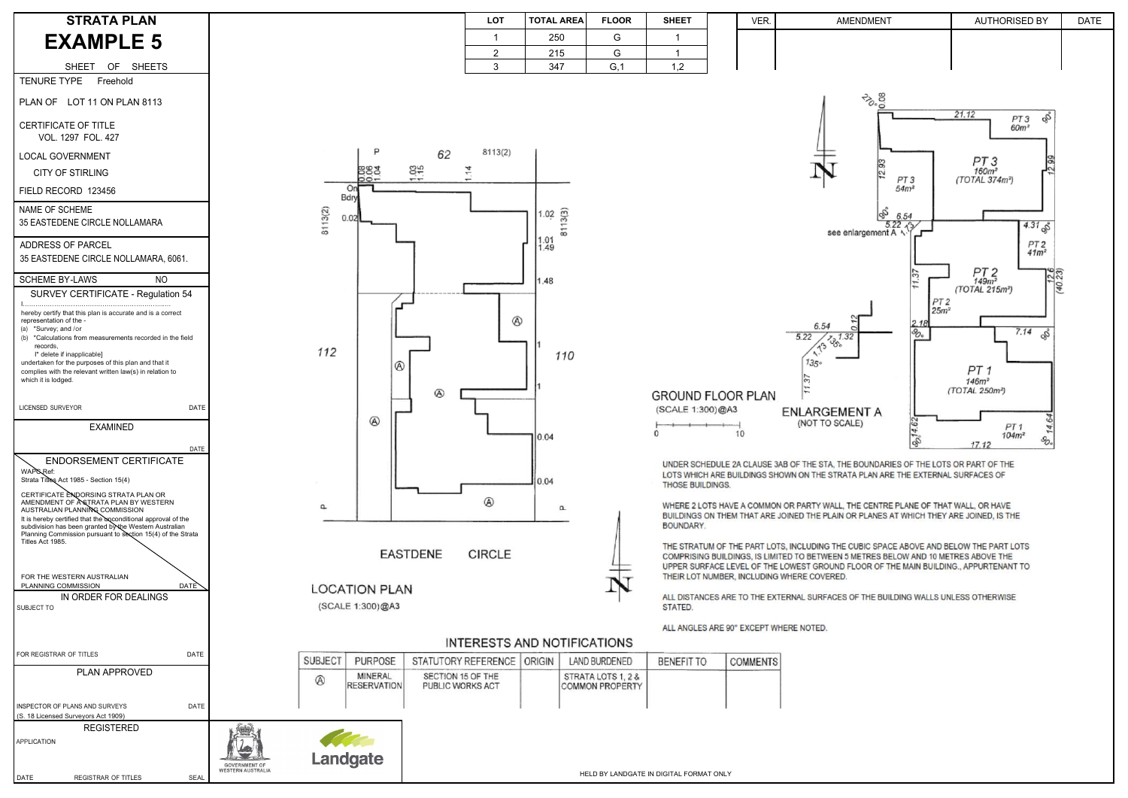| N.                         | <b>LOT</b> | <b>TOTAL AREA</b> | <b>FLOOR</b>        | <b>SHEET</b> | <b>VER</b> | AMENDMENT | <b>AUTHORISED BY</b> | <b>DATE</b> |
|----------------------------|------------|-------------------|---------------------|--------------|------------|-----------|----------------------|-------------|
| $\sqrt{2}$<br>$\checkmark$ |            | 250               | J.                  |              |            |           |                      |             |
|                            |            | 215               |                     |              |            |           |                      |             |
| <b>EETS</b>                |            | 347               | $\sim$ $\sim$<br>G. | $\sim$       |            |           |                      |             |

**GROUND FLOOR PLAN** (SCALE 1:300)@A3

 $10$ 

# **FNI ARGEMENT A** (NOT TO SCALE)

6.54

 $\sqrt{13}$ 

 $135<sub>°</sub>$ 

 $5.22$ 

UNDER SCHEDULE 2A CLAUSE 3AB OF THE STA. THE BOUNDARIES OF THE LOTS OR PART OF THE LOTS WHICH ARE BUILDINGS SHOWN ON THE STRATA PLAN ARE THE EXTERNAL SURFACES OF **THOSE BUILDINGS.** 

WHERE 2 LOTS HAVE A COMMON OR PARTY WALL. THE CENTRE PLANE OF THAT WALL. OR HAVE BUILDINGS ON THEM THAT ARE JOINED THE PLAIN OR PLANES AT WHICH THEY ARE JOINED. IS THE **BOUNDARY.** 

THE STRATUM OF THE PART LOTS. INCLUDING THE CUBIC SPACE ABOVE AND BELOW THE PART LOTS COMPRISING BUILDINGS, IS LIMITED TO BETWEEN 5 METRES BELOW AND 10 METRES ABOVE THE UPPER SURFACE LEVEL OF THE LOWEST GROUND FLOOR OF THE MAIN BUILDING.. APPURTENANT TO THEIR LOT NUMBER, INCLUDING WHERE COVERED.

ALL DISTANCES ARE TO THE EXTERNAL SURFACES OF THE BUILDING WALLS UNLESS OTHERWISE STATED.

## ALL ANGLES ARE 90° EXCEPT WHERE NOTED.

#### **INTERESTS AND NOTIFICATIONS SUBJECT PURPOSE** STATUTORY REFERENCE ORIGIN LAND BURDENED **BENEFIT TO COMMENTS** MINERAL SECTION 15 OF THE STRATA LOTS 1, 2 &  $\circledR$ **RESERVATION** PUBLIC WORKS ACT **COMMON PROPERTY**

**CIRCLE** 

HELD BY LANDS IN DIGITAL BY LANDS IN DIGITAL BY LANDS IN DIGITAL BY LANDS IN DIGITAL BY LANDS IN DIGITAL BY LA Landgate

GOVERNMENT OF



SHEET OF SHEETS

TENURE TYPE Freehold

## PLAN OF LOT 11 ON PLAN 8113

CERTIFICATE OF TITLE VOL. 1297 FOL. 427

(a) \*Survey; and / or (b) \*Calculations from measurements recorded in the fieldrecords,

## LOCAL GOVERNMENT

CITY OF STIRLING

FIELD RECORD 123456

SURVEY CERTIFICATE - Regulation 54

CERTIFICATE ENDORSING STRATA PLAN OR AMENDMENT OF ÀSTRATA PLAN BY WESTERN<br>AUSTRALIAN PLANNI**N**G COMMISSION It is hereby certified that the unconditional approval of the subdivision has been granted by the Western Australian

I…………………………………………………………..… hereby certify that this plan is accurate and is a correct representation of the -

I\* delete if inapplicable]

INSPECTOR OF PLANS AND SURVEYS DATE (S. 18 Licensed Surveyors Act 1909)REGISTERED

 undertaken for the purposes of this plan and that it complies with the relevant written law(s) in relation to which it is lodged.

## LICENSED SURVEYOR DATE

## **STRATA PLANEXAMPLE 5**

EXAMINED

### DATEENDORSEMENT CERTIFICATE

WAP<sub>SRef:</sub>

Strata Titles Act 1985 - Section 15(4)

 Planning Commission pursuant to section 15(4) of the Strata Titles Act 1985.

## FOR THE WESTERN AUSTRALIAN

PLANNING COMMISSIONN DATE IN ORDER FOR DEALINGS

SUBJECT TO

FOR REGISTRAR OF TITLES DATE

PLAN APPROVED

DATE REGISTRAR OF TITLES SEAL

APPLICATION



**EASTDENE** 

# **LOCATION PLAN**

(SCALE 1:300)@A3

| NAME OF SCHEME                |
|-------------------------------|
| 35 EASTEDENE CIRCLE NOLLAMARA |

ADDRESS OF PARCEL 35 EASTEDENE CIRCLE NOLLAMARA, 6061.

## SCHEME BY-LAWS NO